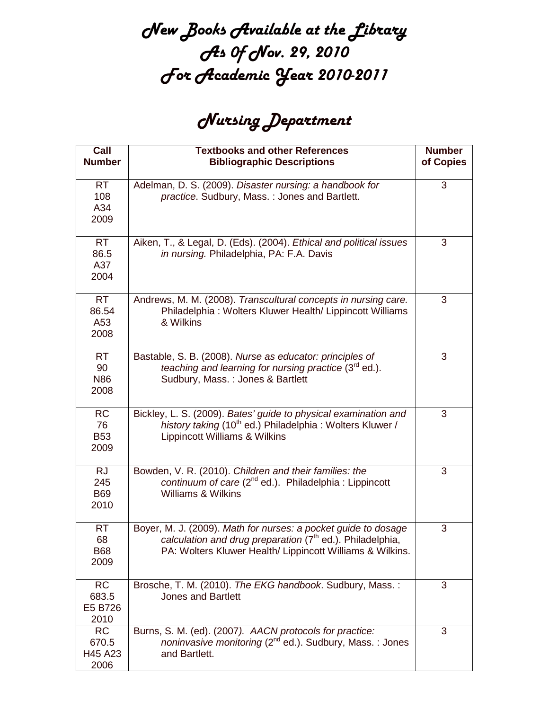## New Books Available at the Library As Of Nov. 29, 2010 For Academic Year 2010-2011

## Nursing Department

| Call<br><b>Number</b>                  | <b>Textbooks and other References</b><br><b>Bibliographic Descriptions</b>                                                                                                                           | <b>Number</b><br>of Copies |
|----------------------------------------|------------------------------------------------------------------------------------------------------------------------------------------------------------------------------------------------------|----------------------------|
| <b>RT</b><br>108<br>A34<br>2009        | Adelman, D. S. (2009). Disaster nursing: a handbook for<br>practice. Sudbury, Mass.: Jones and Bartlett.                                                                                             | 3                          |
| <b>RT</b><br>86.5<br>A37<br>2004       | Aiken, T., & Legal, D. (Eds). (2004). Ethical and political issues<br>in nursing. Philadelphia, PA: F.A. Davis                                                                                       | 3                          |
| <b>RT</b><br>86.54<br>A53<br>2008      | Andrews, M. M. (2008). Transcultural concepts in nursing care.<br>Philadelphia: Wolters Kluwer Health/ Lippincott Williams<br>& Wilkins                                                              | 3                          |
| <b>RT</b><br>90<br><b>N86</b><br>2008  | Bastable, S. B. (2008). Nurse as educator: principles of<br>teaching and learning for nursing practice (3rd ed.).<br>Sudbury, Mass.: Jones & Bartlett                                                | 3                          |
| <b>RC</b><br>76<br><b>B53</b><br>2009  | Bickley, L. S. (2009). Bates' guide to physical examination and<br>history taking (10 <sup>th</sup> ed.) Philadelphia: Wolters Kluwer /<br>Lippincott Williams & Wilkins                             | 3                          |
| <b>RJ</b><br>245<br><b>B69</b><br>2010 | Bowden, V. R. (2010). Children and their families: the<br>continuum of care $(2^{nd}$ ed.). Philadelphia : Lippincott<br><b>Williams &amp; Wilkins</b>                                               | 3                          |
| <b>RT</b><br>68<br><b>B68</b><br>2009  | Boyer, M. J. (2009). Math for nurses: a pocket guide to dosage<br>calculation and drug preparation (7 <sup>th</sup> ed.). Philadelphia,<br>PA: Wolters Kluwer Health/ Lippincott Williams & Wilkins. | 3                          |
| <b>RC</b><br>683.5<br>E5 B726<br>2010  | Brosche, T. M. (2010). The EKG handbook. Sudbury, Mass.:<br><b>Jones and Bartlett</b>                                                                                                                | 3                          |
| <b>RC</b><br>670.5<br>H45 A23<br>2006  | Burns, S. M. (ed). (2007). AACN protocols for practice:<br>noninvasive monitoring (2 <sup>nd</sup> ed.). Sudbury, Mass.: Jones<br>and Bartlett.                                                      | 3                          |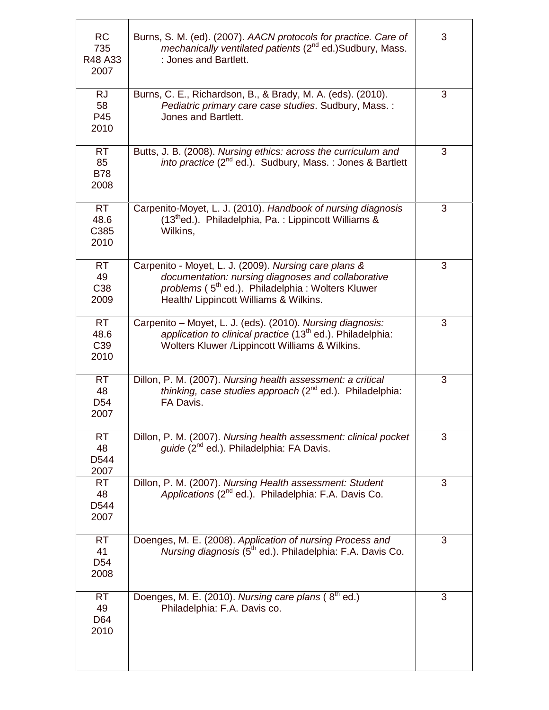| <b>RC</b><br>735<br>R48 A33<br>2007          | Burns, S. M. (ed). (2007). AACN protocols for practice. Care of<br>mechanically ventilated patients (2 <sup>nd</sup> ed.)Sudbury, Mass.<br>: Jones and Bartlett.                                                      | 3 |
|----------------------------------------------|-----------------------------------------------------------------------------------------------------------------------------------------------------------------------------------------------------------------------|---|
| <b>RJ</b><br>58<br>P45<br>2010               | Burns, C. E., Richardson, B., & Brady, M. A. (eds). (2010).<br>Pediatric primary care case studies. Sudbury, Mass.:<br>Jones and Bartlett.                                                                            | 3 |
| <b>RT</b><br>85<br><b>B78</b><br>2008        | Butts, J. B. (2008). Nursing ethics: across the curriculum and<br><i>into practice</i> (2 <sup>nd</sup> ed.). Sudbury, Mass.: Jones & Bartlett                                                                        | 3 |
| <b>RT</b><br>48.6<br>C385<br>2010            | Carpenito-Moyet, L. J. (2010). Handbook of nursing diagnosis<br>(13thed.). Philadelphia, Pa.: Lippincott Williams &<br>Wilkins,                                                                                       | 3 |
| <b>RT</b><br>49<br>C <sub>38</sub><br>2009   | Carpenito - Moyet, L. J. (2009). Nursing care plans &<br>documentation: nursing diagnoses and collaborative<br>problems (5 <sup>th</sup> ed.). Philadelphia: Wolters Kluwer<br>Health/ Lippincott Williams & Wilkins. | 3 |
| <b>RT</b><br>48.6<br>C <sub>39</sub><br>2010 | Carpenito - Moyet, L. J. (eds). (2010). Nursing diagnosis:<br>application to clinical practice (13 <sup>th</sup> ed.). Philadelphia:<br>Wolters Kluwer / Lippincott Williams & Wilkins.                               | 3 |
| <b>RT</b><br>48<br>D <sub>54</sub><br>2007   | Dillon, P. M. (2007). Nursing health assessment: a critical<br><i>thinking, case studies approach</i> $(2^{nd}$ ed.). Philadelphia:<br>FA Davis.                                                                      | 3 |
| <b>RT</b><br>48<br>D544<br>2007              | Dillon, P. M. (2007). Nursing health assessment: clinical pocket<br>guide (2 <sup>nd</sup> ed.). Philadelphia: FA Davis.                                                                                              | 3 |
| <b>RT</b><br>48<br>D544<br>2007              | Dillon, P. M. (2007). Nursing Health assessment: Student<br>Applications (2 <sup>nd</sup> ed.). Philadelphia: F.A. Davis Co.                                                                                          | 3 |
| <b>RT</b><br>41<br>D <sub>54</sub><br>2008   | Doenges, M. E. (2008). Application of nursing Process and<br>Nursing diagnosis (5 <sup>th</sup> ed.). Philadelphia: F.A. Davis Co.                                                                                    | 3 |
| <b>RT</b><br>49<br>D64<br>2010               | Doenges, M. E. (2010). Nursing care plans (8 <sup>th</sup> ed.)<br>Philadelphia: F.A. Davis co.                                                                                                                       | 3 |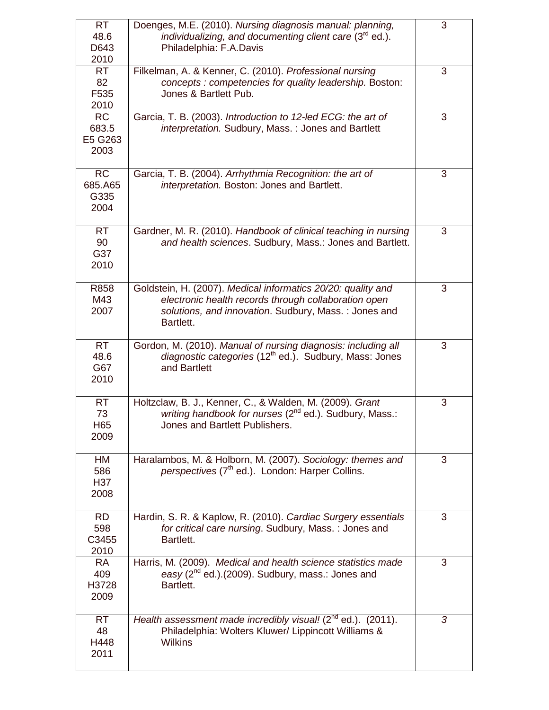| <b>RT</b><br>48.6<br>D643<br>2010     | Doenges, M.E. (2010). Nursing diagnosis manual: planning,<br>individualizing, and documenting client care (3 <sup>rd</sup> ed.).<br>Philadelphia: F.A.Davis                               | 3 |
|---------------------------------------|-------------------------------------------------------------------------------------------------------------------------------------------------------------------------------------------|---|
| <b>RT</b><br>82<br>F535<br>2010       | Filkelman, A. & Kenner, C. (2010). Professional nursing<br>concepts : competencies for quality leadership. Boston:<br>Jones & Bartlett Pub.                                               | 3 |
| <b>RC</b><br>683.5<br>E5 G263<br>2003 | Garcia, T. B. (2003). Introduction to 12-led ECG: the art of<br>interpretation. Sudbury, Mass.: Jones and Bartlett                                                                        | 3 |
| <b>RC</b><br>685.A65<br>G335<br>2004  | Garcia, T. B. (2004). Arrhythmia Recognition: the art of<br>interpretation. Boston: Jones and Bartlett.                                                                                   | 3 |
| <b>RT</b><br>90<br>G37<br>2010        | Gardner, M. R. (2010). Handbook of clinical teaching in nursing<br>and health sciences. Sudbury, Mass.: Jones and Bartlett.                                                               | 3 |
| R858<br>M43<br>2007                   | Goldstein, H. (2007). Medical informatics 20/20: quality and<br>electronic health records through collaboration open<br>solutions, and innovation. Sudbury, Mass.: Jones and<br>Bartlett. | 3 |
| <b>RT</b><br>48.6<br>G67<br>2010      | Gordon, M. (2010). Manual of nursing diagnosis: including all<br>diagnostic categories (12 <sup>th</sup> ed.). Sudbury, Mass: Jones<br>and Bartlett                                       | 3 |
| <b>RT</b><br>73<br>H65<br>2009        | Holtzclaw, B. J., Kenner, C., & Walden, M. (2009). Grant<br>writing handbook for nurses (2 <sup>nd</sup> ed.). Sudbury, Mass.:<br>Jones and Bartlett Publishers.                          | 3 |
| HM<br>586<br>H37<br>2008              | Haralambos, M. & Holborn, M. (2007). Sociology: themes and<br>perspectives (7 <sup>th</sup> ed.). London: Harper Collins.                                                                 | 3 |
| <b>RD</b><br>598<br>C3455<br>2010     | Hardin, S. R. & Kaplow, R. (2010). Cardiac Surgery essentials<br>for critical care nursing. Sudbury, Mass.: Jones and<br>Bartlett.                                                        | 3 |
| <b>RA</b><br>409<br>H3728<br>2009     | Harris, M. (2009). Medical and health science statistics made<br>easy $(2^{nd}$ ed.). $(2009)$ . Sudbury, mass.: Jones and<br>Bartlett.                                                   | 3 |
| <b>RT</b><br>48<br>H448<br>2011       | Health assessment made incredibly visual! $(2^{nd}$ ed.). $(2011)$ .<br>Philadelphia: Wolters Kluwer/ Lippincott Williams &<br><b>Wilkins</b>                                             | 3 |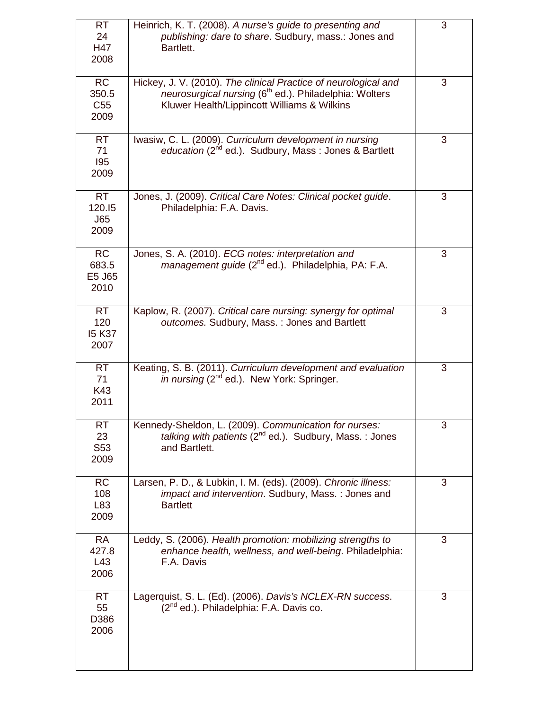| <b>RT</b><br>24<br>H47<br>2008                      | Heinrich, K. T. (2008). A nurse's guide to presenting and<br>publishing: dare to share. Sudbury, mass.: Jones and<br>Bartlett.                                                       | 3 |
|-----------------------------------------------------|--------------------------------------------------------------------------------------------------------------------------------------------------------------------------------------|---|
| $\overline{RC}$<br>350.5<br>C <sub>55</sub><br>2009 | Hickey, J. V. (2010). The clinical Practice of neurological and<br>neurosurgical nursing (6 <sup>th</sup> ed.). Philadelphia: Wolters<br>Kluwer Health/Lippincott Williams & Wilkins | 3 |
| <b>RT</b><br>71<br>195<br>2009                      | Iwasiw, C. L. (2009). Curriculum development in nursing<br>education (2 <sup>nd</sup> ed.). Sudbury, Mass: Jones & Bartlett                                                          | 3 |
| <b>RT</b><br>120.15<br>J65<br>2009                  | Jones, J. (2009). Critical Care Notes: Clinical pocket guide.<br>Philadelphia: F.A. Davis.                                                                                           | 3 |
| <b>RC</b><br>683.5<br>E5 J65<br>2010                | Jones, S. A. (2010). ECG notes: interpretation and<br>management guide (2 <sup>nd</sup> ed.). Philadelphia, PA: F.A.                                                                 | 3 |
| <b>RT</b><br>120<br><b>15 K37</b><br>2007           | Kaplow, R. (2007). Critical care nursing: synergy for optimal<br>outcomes. Sudbury, Mass.: Jones and Bartlett                                                                        | 3 |
| <b>RT</b><br>71<br>K43<br>2011                      | Keating, S. B. (2011). Curriculum development and evaluation<br>in nursing (2 <sup>nd</sup> ed.). New York: Springer.                                                                | 3 |
| RT<br>23<br>S53<br>2009                             | Kennedy-Sheldon, L. (2009). Communication for nurses:<br>talking with patients (2 <sup>nd</sup> ed.). Sudbury, Mass.: Jones<br>and Bartlett.                                         | 3 |
| <b>RC</b><br>108<br>L83<br>2009                     | Larsen, P. D., & Lubkin, I. M. (eds). (2009). Chronic illness:<br><i>impact and intervention</i> . Sudbury, Mass.: Jones and<br><b>Bartlett</b>                                      | 3 |
| <b>RA</b><br>427.8<br>L43<br>2006                   | Leddy, S. (2006). Health promotion: mobilizing strengths to<br>enhance health, wellness, and well-being. Philadelphia:<br>F.A. Davis                                                 | 3 |
| <b>RT</b><br>55<br>D386<br>2006                     | Lagerquist, S. L. (Ed). (2006). Davis's NCLEX-RN success.<br>$(2^{nd}$ ed.). Philadelphia: F.A. Davis co.                                                                            | 3 |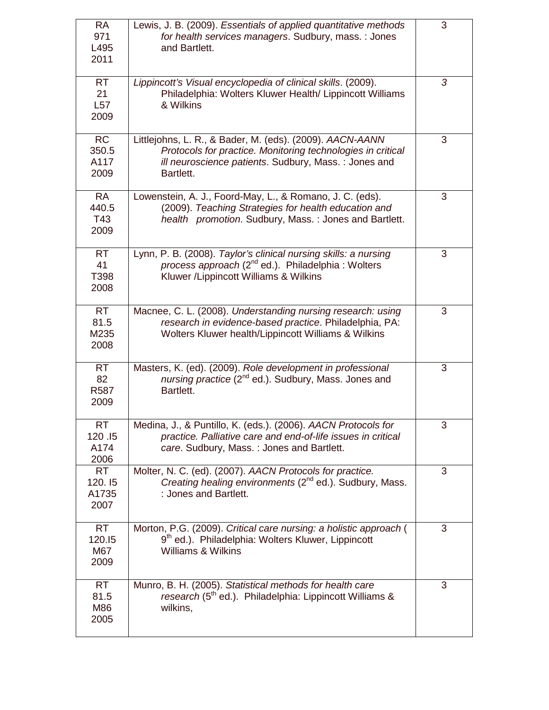| <b>RA</b><br>971<br>L495<br>2011     | Lewis, J. B. (2009). Essentials of applied quantitative methods<br>for health services managers. Sudbury, mass.: Jones<br>and Bartlett.                                                      | 3 |
|--------------------------------------|----------------------------------------------------------------------------------------------------------------------------------------------------------------------------------------------|---|
| <b>RT</b><br>21<br>L57<br>2009       | Lippincott's Visual encyclopedia of clinical skills. (2009).<br>Philadelphia: Wolters Kluwer Health/ Lippincott Williams<br>& Wilkins                                                        | 3 |
| <b>RC</b><br>350.5<br>A117<br>2009   | Littlejohns, L. R., & Bader, M. (eds). (2009). AACN-AANN<br>Protocols for practice. Monitoring technologies in critical<br>ill neuroscience patients. Sudbury, Mass.: Jones and<br>Bartlett. | 3 |
| <b>RA</b><br>440.5<br>T43<br>2009    | Lowenstein, A. J., Foord-May, L., & Romano, J. C. (eds).<br>(2009). Teaching Strategies for health education and<br>health promotion. Sudbury, Mass.: Jones and Bartlett.                    | 3 |
| <b>RT</b><br>41<br>T398<br>2008      | Lynn, P. B. (2008). Taylor's clinical nursing skills: a nursing<br>process approach (2 <sup>nd</sup> ed.). Philadelphia : Wolters<br>Kluwer / Lippincott Williams & Wilkins                  | 3 |
| <b>RT</b><br>81.5<br>M235<br>2008    | Macnee, C. L. (2008). Understanding nursing research: using<br>research in evidence-based practice. Philadelphia, PA:<br>Wolters Kluwer health/Lippincott Williams & Wilkins                 | 3 |
| <b>RT</b><br>82<br>R587<br>2009      | Masters, K. (ed). (2009). Role development in professional<br>nursing practice (2 <sup>nd</sup> ed.). Sudbury, Mass. Jones and<br>Bartlett.                                                  | 3 |
| <b>RT</b><br>120.15<br>A174<br>2006  | Medina, J., & Puntillo, K. (eds.). (2006). AACN Protocols for<br>practice. Palliative care and end-of-life issues in critical<br>care. Sudbury, Mass.: Jones and Bartlett.                   | 3 |
| <b>RT</b><br>120.15<br>A1735<br>2007 | Molter, N. C. (ed). (2007). AACN Protocols for practice.<br>Creating healing environments $(2^{nd}$ ed.). Sudbury, Mass.<br>: Jones and Bartlett.                                            | 3 |
| <b>RT</b><br>120.15<br>M67<br>2009   | Morton, P.G. (2009). Critical care nursing: a holistic approach (<br>9 <sup>th</sup> ed.). Philadelphia: Wolters Kluwer, Lippincott<br>Williams & Wilkins                                    | 3 |
| <b>RT</b><br>81.5<br>M86<br>2005     | Munro, B. H. (2005). Statistical methods for health care<br>research (5 <sup>th</sup> ed.). Philadelphia: Lippincott Williams &<br>wilkins,                                                  | 3 |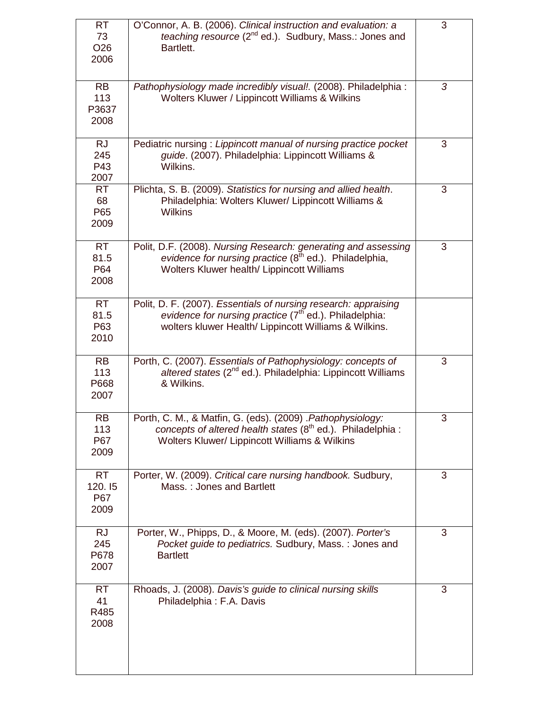| <b>RT</b><br>73<br>O <sub>26</sub><br>2006 | O'Connor, A. B. (2006). Clinical instruction and evaluation: a<br>teaching resource (2 <sup>nd</sup> ed.). Sudbury, Mass.: Jones and<br>Bartlett.                                              | 3 |
|--------------------------------------------|------------------------------------------------------------------------------------------------------------------------------------------------------------------------------------------------|---|
| <b>RB</b><br>113<br>P3637<br>2008          | Pathophysiology made incredibly visual!. (2008). Philadelphia :<br>Wolters Kluwer / Lippincott Williams & Wilkins                                                                              | 3 |
| <b>RJ</b><br>245<br>P43<br>2007            | Pediatric nursing: Lippincott manual of nursing practice pocket<br>guide. (2007). Philadelphia: Lippincott Williams &<br>Wilkins.                                                              | 3 |
| <b>RT</b><br>68<br>P65<br>2009             | Plichta, S. B. (2009). Statistics for nursing and allied health.<br>Philadelphia: Wolters Kluwer/ Lippincott Williams &<br><b>Wilkins</b>                                                      | 3 |
| <b>RT</b><br>81.5<br>P64<br>2008           | Polit, D.F. (2008). Nursing Research: generating and assessing<br>evidence for nursing practice (8 <sup>th</sup> ed.). Philadelphia,<br>Wolters Kluwer health/ Lippincott Williams             | 3 |
| RT<br>81.5<br>P63<br>2010                  | Polit, D. F. (2007). Essentials of nursing research: appraising<br>evidence for nursing practice (7 <sup>th</sup> ed.). Philadelphia:<br>wolters kluwer Health/ Lippincott Williams & Wilkins. |   |
| <b>RB</b><br>113<br>P668<br>2007           | Porth, C. (2007). Essentials of Pathophysiology: concepts of<br>altered states $(2^{nd}$ ed.). Philadelphia: Lippincott Williams<br>& Wilkins.                                                 | 3 |
| <b>RB</b><br>113<br>P67<br>2009            | Porth, C. M., & Matfin, G. (eds). (2009) . Pathophysiology:<br>concepts of altered health states (8 <sup>th</sup> ed.). Philadelphia :<br>Wolters Kluwer/ Lippincott Williams & Wilkins        | 3 |
| <b>RT</b><br>120.15<br>P67<br>2009         | Porter, W. (2009). Critical care nursing handbook. Sudbury,<br>Mass.: Jones and Bartlett                                                                                                       | 3 |
| <b>RJ</b><br>245<br>P678<br>2007           | Porter, W., Phipps, D., & Moore, M. (eds). (2007). Porter's<br>Pocket guide to pediatrics. Sudbury, Mass.: Jones and<br><b>Bartlett</b>                                                        | 3 |
| RT.<br>41<br>R485<br>2008                  | Rhoads, J. (2008). Davis's guide to clinical nursing skills<br>Philadelphia: F.A. Davis                                                                                                        | 3 |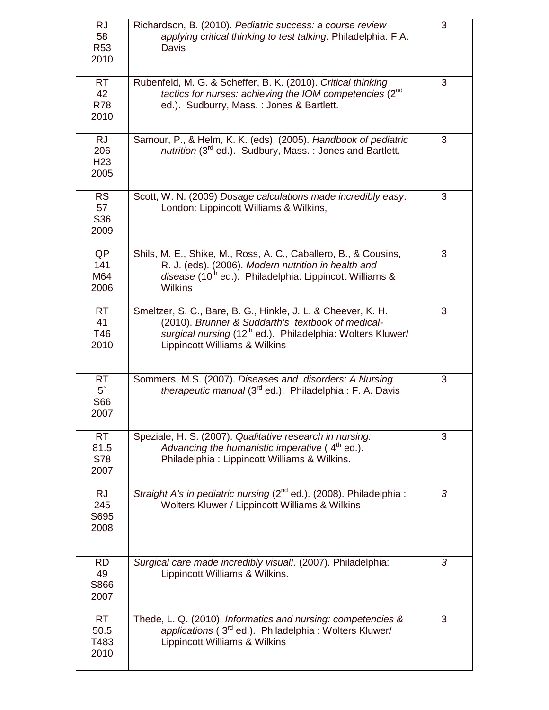| <b>RJ</b><br>58<br>R <sub>53</sub><br>2010  | Richardson, B. (2010). Pediatric success: a course review<br>applying critical thinking to test talking. Philadelphia: F.A.<br>Davis                                                                                         | 3 |
|---------------------------------------------|------------------------------------------------------------------------------------------------------------------------------------------------------------------------------------------------------------------------------|---|
| <b>RT</b><br>42<br><b>R78</b><br>2010       | Rubenfeld, M. G. & Scheffer, B. K. (2010). Critical thinking<br>tactics for nurses: achieving the IOM competencies (2nd<br>ed.). Sudburry, Mass.: Jones & Bartlett.                                                          | 3 |
| <b>RJ</b><br>206<br>H <sub>23</sub><br>2005 | Samour, P., & Helm, K. K. (eds). (2005). Handbook of pediatric<br>nutrition (3 <sup>rd</sup> ed.). Sudbury, Mass.: Jones and Bartlett.                                                                                       | 3 |
| <b>RS</b><br>57<br>S36<br>2009              | Scott, W. N. (2009) Dosage calculations made incredibly easy.<br>London: Lippincott Williams & Wilkins,                                                                                                                      | 3 |
| QP<br>141<br>M64<br>2006                    | Shils, M. E., Shike, M., Ross, A. C., Caballero, B., & Cousins,<br>R. J. (eds). (2006). Modern nutrition in health and<br>disease (10 <sup>th</sup> ed.). Philadelphia: Lippincott Williams &<br><b>Wilkins</b>              | 3 |
| <b>RT</b><br>41<br>T46<br>2010              | Smeltzer, S. C., Bare, B. G., Hinkle, J. L. & Cheever, K. H.<br>(2010). Brunner & Suddarth's textbook of medical-<br>surgical nursing (12 <sup>th</sup> ed.). Philadelphia: Wolters Kluwer/<br>Lippincott Williams & Wilkins | 3 |
| <b>RT</b><br>5 <sup>°</sup><br>S66<br>2007  | Sommers, M.S. (2007). Diseases and disorders: A Nursing<br>therapeutic manual (3 <sup>rd</sup> ed.). Philadelphia: F. A. Davis                                                                                               | 3 |
| <b>RT</b><br>81.5<br>S78<br>2007            | Speziale, H. S. (2007). Qualitative research in nursing:<br>Advancing the humanistic imperative $(4th$ ed.).<br>Philadelphia: Lippincott Williams & Wilkins.                                                                 | 3 |
| <b>RJ</b><br>245<br>S695<br>2008            | Straight A's in pediatric nursing (2 <sup>nd</sup> ed.). (2008). Philadelphia :<br>Wolters Kluwer / Lippincott Williams & Wilkins                                                                                            | 3 |
| <b>RD</b><br>49<br>S866<br>2007             | Surgical care made incredibly visual!. (2007). Philadelphia:<br>Lippincott Williams & Wilkins.                                                                                                                               | 3 |
| <b>RT</b><br>50.5<br>T483<br>2010           | Thede, L. Q. (2010). Informatics and nursing: competencies &<br>applications (3rd ed.). Philadelphia : Wolters Kluwer/<br>Lippincott Williams & Wilkins                                                                      | 3 |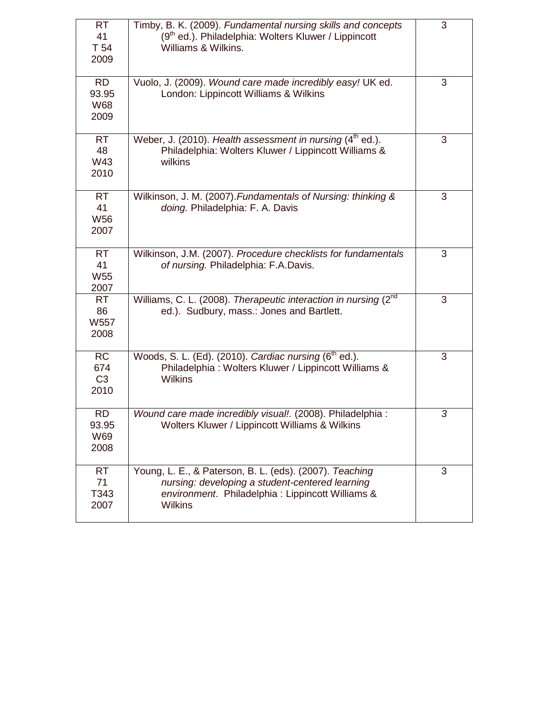| <b>RT</b><br>41<br>T 54<br>2009            | Timby, B. K. (2009). Fundamental nursing skills and concepts<br>(9 <sup>th</sup> ed.). Philadelphia: Wolters Kluwer / Lippincott<br>Williams & Wilkins.                           | 3 |
|--------------------------------------------|-----------------------------------------------------------------------------------------------------------------------------------------------------------------------------------|---|
| <b>RD</b><br>93.95<br>W68<br>2009          | Vuolo, J. (2009). Wound care made incredibly easy! UK ed.<br>London: Lippincott Williams & Wilkins                                                                                | 3 |
| <b>RT</b><br>48<br>W43<br>2010             | Weber, J. (2010). Health assessment in nursing $(4th$ ed.).<br>Philadelphia: Wolters Kluwer / Lippincott Williams &<br>wilkins                                                    | 3 |
| <b>RT</b><br>41<br><b>W56</b><br>2007      | Wilkinson, J. M. (2007). Fundamentals of Nursing: thinking &<br>doing. Philadelphia: F. A. Davis                                                                                  | 3 |
| <b>RT</b><br>41<br><b>W55</b><br>2007      | Wilkinson, J.M. (2007). Procedure checklists for fundamentals<br>of nursing. Philadelphia: F.A.Davis.                                                                             | 3 |
| <b>RT</b><br>86<br>W557<br>2008            | Williams, C. L. (2008). Therapeutic interaction in nursing (2 <sup>nd</sup><br>ed.). Sudbury, mass.: Jones and Bartlett.                                                          | 3 |
| <b>RC</b><br>674<br>C <sub>3</sub><br>2010 | Woods, S. L. (Ed). (2010). Cardiac nursing (6 <sup>th</sup> ed.).<br>Philadelphia: Wolters Kluwer / Lippincott Williams &<br><b>Wilkins</b>                                       | 3 |
| <b>RD</b><br>93.95<br>W69<br>2008          | Wound care made incredibly visual!. (2008). Philadelphia :<br>Wolters Kluwer / Lippincott Williams & Wilkins                                                                      | 3 |
| <b>RT</b><br>71<br>T343<br>2007            | Young, L. E., & Paterson, B. L. (eds). (2007). Teaching<br>nursing: developing a student-centered learning<br>environment. Philadelphia : Lippincott Williams &<br><b>Wilkins</b> | 3 |